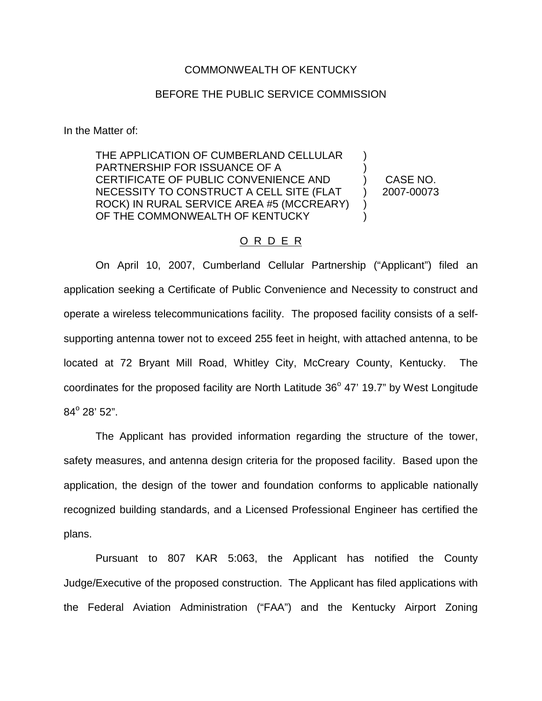## COMMONWEALTH OF KENTUCKY

## BEFORE THE PUBLIC SERVICE COMMISSION

In the Matter of:

THE APPLICATION OF CUMBERLAND CELLULAR PARTNERSHIP FOR ISSUANCE OF A CERTIFICATE OF PUBLIC CONVENIENCE AND NECESSITY TO CONSTRUCT A CELL SITE (FLAT ROCK) IN RURAL SERVICE AREA #5 (MCCREARY) OF THE COMMONWEALTH OF KENTUCKY ) ) ) ) ) ) CASE NO. 2007-00073

## O R D E R

On April 10, 2007, Cumberland Cellular Partnership ("Applicant") filed an application seeking a Certificate of Public Convenience and Necessity to construct and operate a wireless telecommunications facility. The proposed facility consists of a selfsupporting antenna tower not to exceed 255 feet in height, with attached antenna, to be located at 72 Bryant Mill Road, Whitley City, McCreary County, Kentucky. The coordinates for the proposed facility are North Latitude  $36^{\circ}$  47' 19.7" by West Longitude  $84^{\circ}$  28' 52".

The Applicant has provided information regarding the structure of the tower, safety measures, and antenna design criteria for the proposed facility. Based upon the application, the design of the tower and foundation conforms to applicable nationally recognized building standards, and a Licensed Professional Engineer has certified the plans.

Pursuant to 807 KAR 5:063, the Applicant has notified the County Judge/Executive of the proposed construction. The Applicant has filed applications with the Federal Aviation Administration ("FAA") and the Kentucky Airport Zoning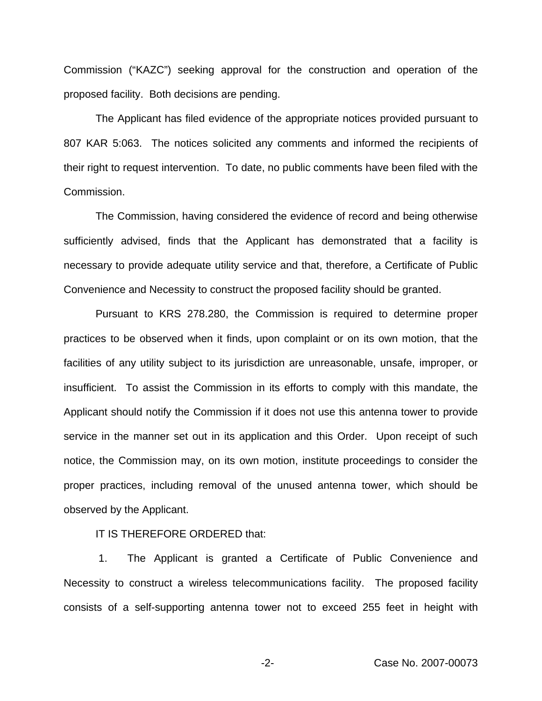Commission ("KAZC") seeking approval for the construction and operation of the proposed facility. Both decisions are pending.

The Applicant has filed evidence of the appropriate notices provided pursuant to 807 KAR 5:063. The notices solicited any comments and informed the recipients of their right to request intervention. To date, no public comments have been filed with the Commission.

The Commission, having considered the evidence of record and being otherwise sufficiently advised, finds that the Applicant has demonstrated that a facility is necessary to provide adequate utility service and that, therefore, a Certificate of Public Convenience and Necessity to construct the proposed facility should be granted.

Pursuant to KRS 278.280, the Commission is required to determine proper practices to be observed when it finds, upon complaint or on its own motion, that the facilities of any utility subject to its jurisdiction are unreasonable, unsafe, improper, or insufficient. To assist the Commission in its efforts to comply with this mandate, the Applicant should notify the Commission if it does not use this antenna tower to provide service in the manner set out in its application and this Order. Upon receipt of such notice, the Commission may, on its own motion, institute proceedings to consider the proper practices, including removal of the unused antenna tower, which should be observed by the Applicant.

IT IS THEREFORE ORDERED that:

1. The Applicant is granted a Certificate of Public Convenience and Necessity to construct a wireless telecommunications facility. The proposed facility consists of a self-supporting antenna tower not to exceed 255 feet in height with